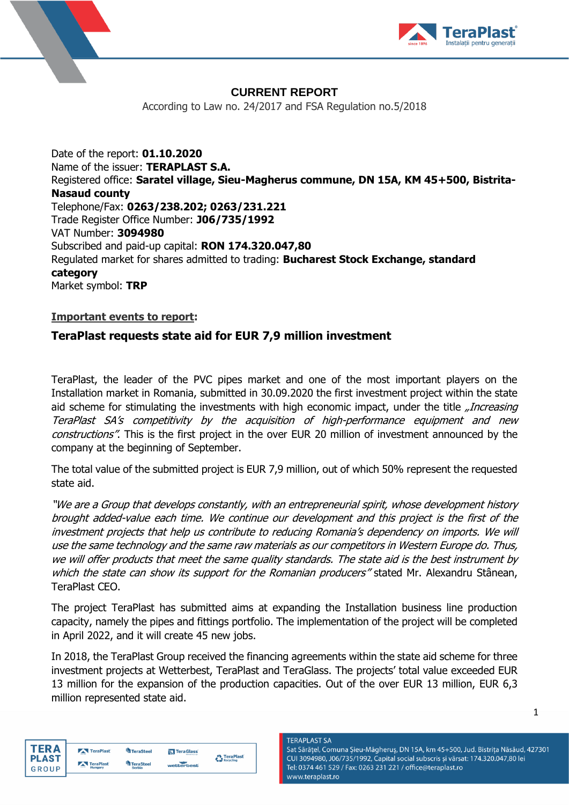



# **CURRENT REPORT**

According to Law no. 24/2017 and FSA Regulation no.5/2018

Date of the report: **01.10.2020** Name of the issuer: **TERAPLAST S.A.** Registered office: **Saratel village, Sieu-Magherus commune, DN 15A, KM 45+500, Bistrita-Nasaud county** Telephone/Fax: **0263/238.202; 0263/231.221** Trade Register Office Number: **J06/735/1992** VAT Number: **3094980** Subscribed and paid-up capital: **RON 174.320.047,80** Regulated market for shares admitted to trading: **Bucharest Stock Exchange, standard category** Market symbol: **TRP**

## **Important events to report:**

# **TeraPlast requests state aid for EUR 7,9 million investment**

TeraPlast, the leader of the PVC pipes market and one of the most important players on the Installation market in Romania, submitted in 30.09.2020 the first investment project within the state aid scheme for stimulating the investments with high economic impact, under the title "Increasing TeraPlast SA's competitivity by the acquisition of high-performance equipment and new constructions". This is the first project in the over EUR 20 million of investment announced by the company at the beginning of September.

The total value of the submitted project is EUR 7,9 million, out of which 50% represent the requested state aid.

"We are a Group that develops constantly, with an entrepreneurial spirit, whose development history brought added-value each time. We continue our development and this project is the first of the investment projects that help us contribute to reducing Romania's dependency on imports. We will use the same technology and the same raw materials as our competitors in Western Europe do. Thus, we will offer products that meet the same quality standards. The state aid is the best instrument by which the state can show its support for the Romanian producers" stated Mr. Alexandru Stânean, TeraPlast CEO.

The project TeraPlast has submitted aims at expanding the Installation business line production capacity, namely the pipes and fittings portfolio. The implementation of the project will be completed in April 2022, and it will create 45 new jobs.

In 2018, the TeraPlast Group received the financing agreements within the state aid scheme for three investment projects at Wetterbest, TeraPlast and TeraGlass. The projects' total value exceeded EUR 13 million for the expansion of the production capacities. Out of the over EUR 13 million, EUR 6,3 million represented state aid.



**TERAPLAST SA** Sat Sărățel, Comuna Șieu-Măgheruș, DN 15A, km 45+500, Jud. Bistrița Năsăud, 427301 CUI 3094980, J06/735/1992, Capital social subscris și vărsat: 174.320.047,80 lei Tel: 0374 461 529 / Fax: 0263 231 221 / office@teraplast.ro www.teraplast.ro